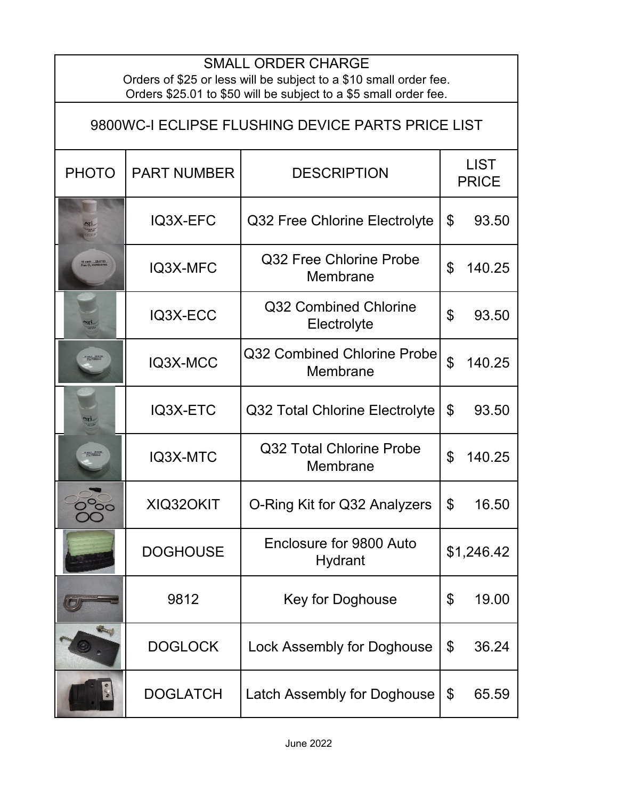| <b>SMALL ORDER CHARGE</b><br>Orders of \$25 or less will be subject to a \$10 small order fee.<br>Orders \$25.01 to \$50 will be subject to a \$5 small order fee. |                    |                                         |                             |  |  |  |
|--------------------------------------------------------------------------------------------------------------------------------------------------------------------|--------------------|-----------------------------------------|-----------------------------|--|--|--|
| 9800WC-I ECLIPSE FLUSHING DEVICE PARTS PRICE LIST                                                                                                                  |                    |                                         |                             |  |  |  |
| <b>PHOTO</b>                                                                                                                                                       | <b>PART NUMBER</b> | <b>DESCRIPTION</b>                      | <b>LIST</b><br><b>PRICE</b> |  |  |  |
|                                                                                                                                                                    | IQ3X-EFC           | Q32 Free Chlorine Electrolyte           | \$<br>93.50                 |  |  |  |
| 10 each - 05-01:<br>Free Ci <sub>t</sub> membrai                                                                                                                   | IQ3X-MFC           | Q32 Free Chlorine Probe<br>Membrane     | $\mathfrak{L}$<br>140.25    |  |  |  |
|                                                                                                                                                                    | IQ3X-ECC           | Q32 Combined Chlorine<br>Electrolyte    | $\mathfrak{L}$<br>93.50     |  |  |  |
|                                                                                                                                                                    | IQ3X-MCC           | Q32 Combined Chlorine Probe<br>Membrane | $\mathfrak{P}$<br>140.25    |  |  |  |
|                                                                                                                                                                    | IQ3X-ETC           | Q32 Total Chlorine Electrolyte          | \$<br>93.50                 |  |  |  |
|                                                                                                                                                                    | IQ3X-MTC           | Q32 Total Chlorine Probe<br>Membrane    | $\mathfrak{L}$<br>140.25    |  |  |  |
| $\circ$                                                                                                                                                            | XIQ320KIT          | O-Ring Kit for Q32 Analyzers            | \$<br>16.50                 |  |  |  |
|                                                                                                                                                                    | <b>DOGHOUSE</b>    | Enclosure for 9800 Auto<br>Hydrant      | \$1,246.42                  |  |  |  |
|                                                                                                                                                                    | 9812               | Key for Doghouse                        | \$<br>19.00                 |  |  |  |
|                                                                                                                                                                    | <b>DOGLOCK</b>     | <b>Lock Assembly for Doghouse</b>       | \$<br>36.24                 |  |  |  |
|                                                                                                                                                                    | <b>DOGLATCH</b>    | Latch Assembly for Doghouse             | \$<br>65.59                 |  |  |  |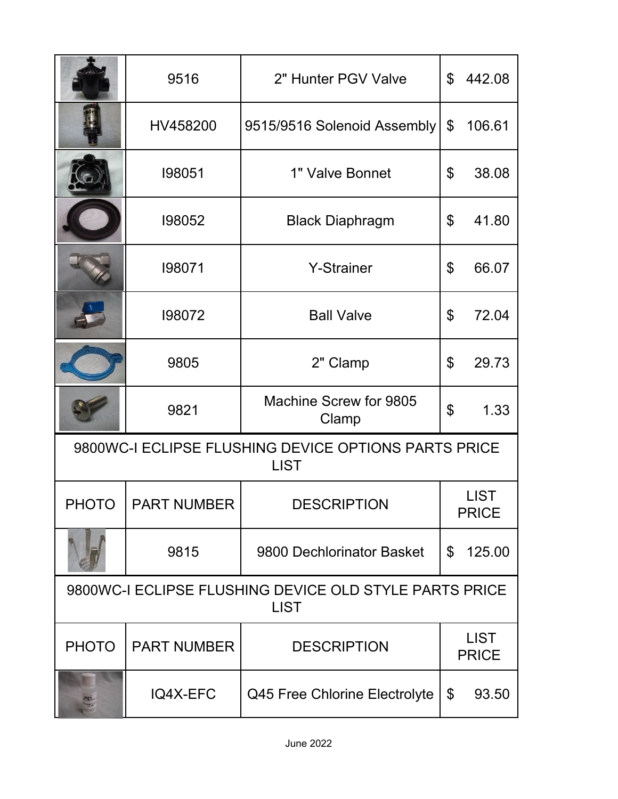|                                                                       | 9516               | 2" Hunter PGV Valve             | $\mathfrak{L}$              | 442.08 |  |  |
|-----------------------------------------------------------------------|--------------------|---------------------------------|-----------------------------|--------|--|--|
|                                                                       | HV458200           | 9515/9516 Solenoid Assembly     | \$                          | 106.61 |  |  |
|                                                                       | 198051             | 1" Valve Bonnet                 | \$                          | 38.08  |  |  |
|                                                                       | 198052             | <b>Black Diaphragm</b>          | \$                          | 41.80  |  |  |
|                                                                       | 198071             | <b>Y-Strainer</b>               | \$                          | 66.07  |  |  |
|                                                                       | 198072             | <b>Ball Valve</b>               | \$                          | 72.04  |  |  |
|                                                                       | 9805               | 2" Clamp                        | \$                          | 29.73  |  |  |
|                                                                       | 9821               | Machine Screw for 9805<br>Clamp | \$                          | 1.33   |  |  |
| 9800WC-I ECLIPSE FLUSHING DEVICE OPTIONS PARTS PRICE<br><b>LIST</b>   |                    |                                 |                             |        |  |  |
| <b>PHOTO</b>                                                          | <b>PART NUMBER</b> | <b>DESCRIPTION</b>              | <b>LIST</b><br><b>PRICE</b> |        |  |  |
|                                                                       | 9815               | 9800 Dechlorinator Basket       | \$                          | 125.00 |  |  |
| 9800WC-I ECLIPSE FLUSHING DEVICE OLD STYLE PARTS PRICE<br><b>LIST</b> |                    |                                 |                             |        |  |  |
| <b>PHOTO</b>                                                          | <b>PART NUMBER</b> | <b>DESCRIPTION</b>              | <b>LIST</b><br><b>PRICE</b> |        |  |  |
|                                                                       | IQ4X-EFC           | Q45 Free Chlorine Electrolyte   | \$                          | 93.50  |  |  |